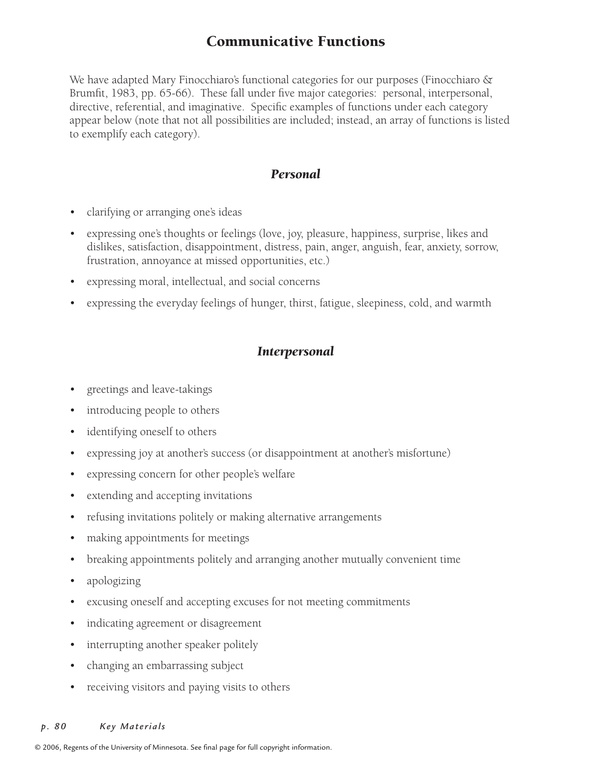# Communicative Functions

We have adapted Mary Finocchiaro's functional categories for our purposes (Finocchiaro & Brumfit, 1983, pp. 65-66). These fall under five major categories: personal, interpersonal, directive, referential, and imaginative. Specific examples of functions under each category appear below (note that not all possibilities are included; instead, an array of functions is listed to exemplify each category).

## *Personal*

- clarifying or arranging one's ideas
- expressing one's thoughts or feelings (love, joy, pleasure, happiness, surprise, likes and dislikes, satisfaction, disappointment, distress, pain, anger, anguish, fear, anxiety, sorrow, frustration, annoyance at missed opportunities, etc.)
- expressing moral, intellectual, and social concerns
- expressing the everyday feelings of hunger, thirst, fatigue, sleepiness, cold, and warmth

## *Interpersonal*

- greetings and leave-takings
- introducing people to others
- identifying oneself to others
- expressing joy at another's success (or disappointment at another's misfortune)
- expressing concern for other people's welfare
- extending and accepting invitations
- refusing invitations politely or making alternative arrangements
- making appointments for meetings
- breaking appointments politely and arranging another mutually convenient time
- apologizing
- excusing oneself and accepting excuses for not meeting commitments
- indicating agreement or disagreement
- interrupting another speaker politely
- changing an embarrassing subject
- receiving visitors and paying visits to others

#### p. 80 Key Materials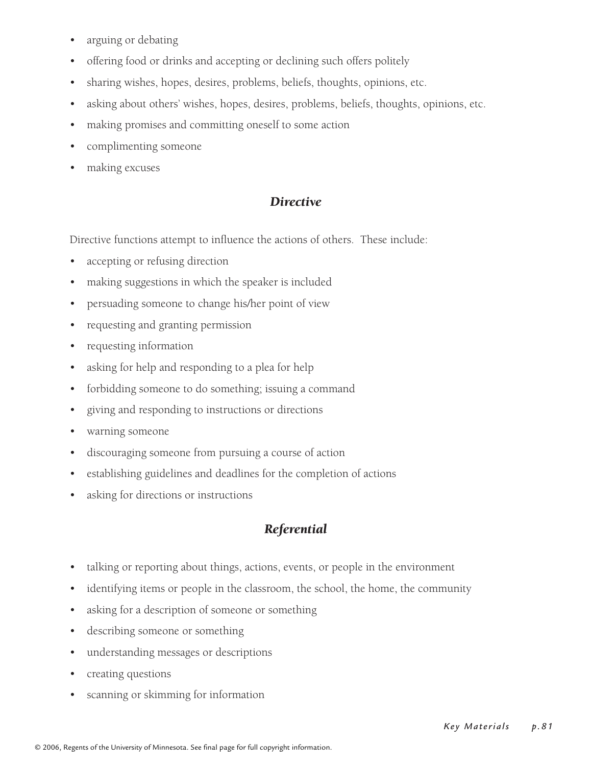- arguing or debating
- offering food or drinks and accepting or declining such offers politely
- sharing wishes, hopes, desires, problems, beliefs, thoughts, opinions, etc.
- asking about others' wishes, hopes, desires, problems, beliefs, thoughts, opinions, etc.
- making promises and committing oneself to some action
- complimenting someone
- making excuses

# *Directive*

Directive functions attempt to influence the actions of others. These include:

- accepting or refusing direction
- making suggestions in which the speaker is included
- persuading someone to change his/her point of view
- requesting and granting permission
- requesting information
- asking for help and responding to a plea for help
- forbidding someone to do something; issuing a command
- giving and responding to instructions or directions
- warning someone
- discouraging someone from pursuing a course of action
- establishing guidelines and deadlines for the completion of actions
- asking for directions or instructions

# *Referential*

- talking or reporting about things, actions, events, or people in the environment
- identifying items or people in the classroom, the school, the home, the community
- asking for a description of someone or something
- describing someone or something
- understanding messages or descriptions
- creating questions
- scanning or skimming for information